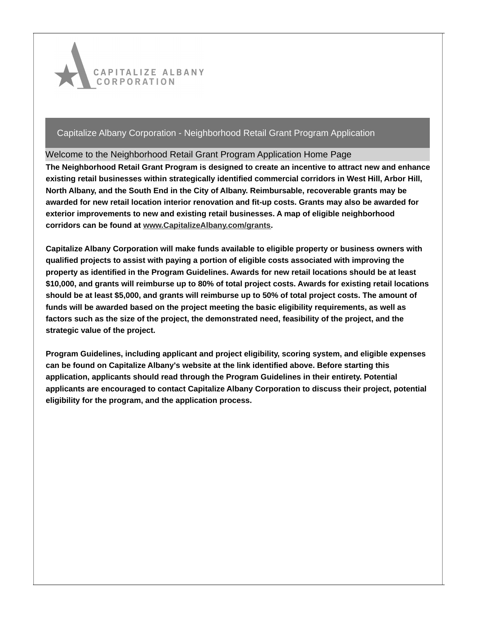

Welcome to the Neighborhood Retail Grant Program Application Home Page

**The Neighborhood Retail Grant Program is designed to create an incentive to attract new and enhance existing retail businesses within strategically identified commercial corridors in West Hill, Arbor Hill, North Albany, and the South End in the City of Albany. Reimbursable, recoverable grants may be awarded for new retail location interior renovation and fit-up costs. Grants may also be awarded for exterior improvements to new and existing retail businesses. A map of eligible neighborhood corridors can be found at [www.CapitalizeAlbany.com/grants](http://www.capitalizealbany.com/grants).**

**Capitalize Albany Corporation will make funds available to eligible property or business owners with qualified projects to assist with paying a portion of eligible costs associated with improving the property as identified in the Program Guidelines. Awards for new retail locations should be at least \$10,000, and grants will reimburse up to 80% of total project costs. Awards for existing retail locations** should be at least \$5,000, and grants will reimburse up to 50% of total project costs. The amount of **funds will be awarded based on the project meeting the basic eligibility requirements, as well as factors such as the size of the project, the demonstrated need, feasibility of the project, and the strategic value of the project.**

**Program Guidelines, including applicant and project eligibility, scoring system, and eligible expenses can be found on Capitalize Albany's website at the link identified above. Before starting this application, applicants should read through the Program Guidelines in their entirety. Potential applicants are encouraged to contact Capitalize Albany Corporation to discuss their project, potential eligibility for the program, and the application process.**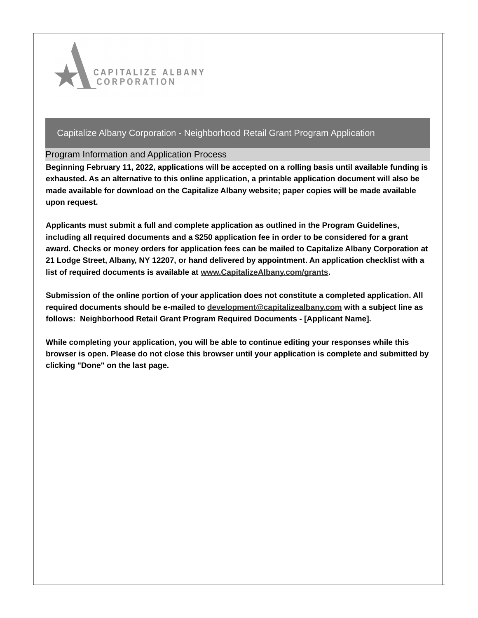

### Program Information and Application Process

**Beginning February 11, 2022, applications will be accepted on a rolling basis until available funding is exhausted. As an alternative to this online application, a printable application document will also be made available for download on the Capitalize Albany website; paper copies will be made available upon request.**

**Applicants must submit a full and complete application as outlined in the Program Guidelines, including all required documents and a \$250 application fee in order to be considered for a grant award. Checks or money orders for application fees can be mailed to Capitalize Albany Corporation at 21 Lodge Street, Albany, NY 12207, or hand delivered by appointment. An application checklist with a list of required documents is available at [www.CapitalizeAlbany.com/grants](http://www.capitalizealbany.com/grants).**

**Submission of the online portion of your application does not constitute a completed application. All required documents should be e-mailed to [development@capitalizealbany.com](mailto:development@capitalizealbany.com) with a subject line as follows: Neighborhood Retail Grant Program Required Documents - [Applicant Name].**

**While completing your application, you will be able to continue editing your responses while this browser is open. Please do not close this browser until your application is complete and submitted by clicking "Done" on the last page.**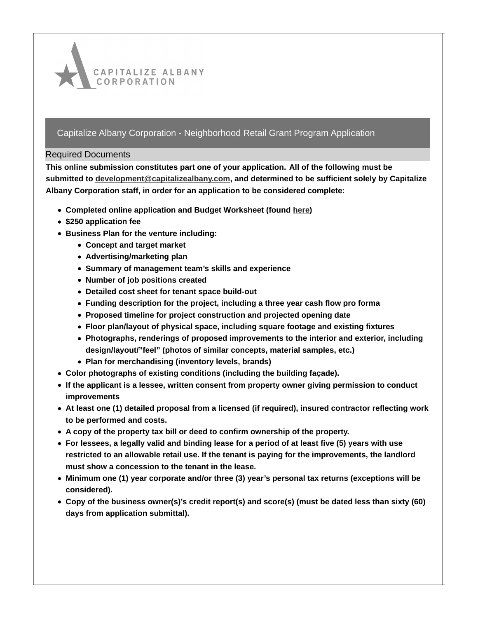

### Required Documents

**This online submission constitutes part one of your application. All of the following must be submitted to [development@capitalizealbany.com,](mailto:development@capitalizealbany.com) and determined to be sufficient solely by Capitalize Albany Corporation staff, in order for an application to be considered complete:**

- **Completed online application and Budget Worksheet (found [here](https://capitalizealbany.com/grants/))**
- **\$250 application fee**
- **Business Plan for the venture including:**
	- **Concept and target market**
	- **Advertising/marketing plan**
	- **Summary of management team's skills and experience**
	- **Number of job positions created**
	- **Detailed cost sheet for tenant space build-out**
	- **Funding description for the project, including a three year cash flow pro forma**
	- **Proposed timeline for project construction and projected opening date**
	- **Floor plan/layout of physical space, including square footage and existing fixtures**
	- **Photographs, renderings of proposed improvements to the interior and exterior, including design/layout/"feel" (photos of similar concepts, material samples, etc.)**
	- **Plan for merchandising (inventory levels, brands)**
- **Color photographs of existing conditions (including the building façade).**
- **If the applicant is a lessee, written consent from property owner giving permission to conduct improvements**
- **At least one (1) detailed proposal from a licensed (if required), insured contractor reflecting work to be performed and costs.**
- **A copy of the property tax bill or deed to confirm ownership of the property.**
- For lessees, a legally valid and binding lease for a period of at least five (5) years with use **restricted to an allowable retail use. If the tenant is paying for the improvements, the landlord must show a concession to the tenant in the lease.**
- **Minimum one (1) year corporate and/or three (3) year's personal tax returns (exceptions will be considered).**
- **Copy of the business owner(s)'s credit report(s) and score(s) (must be dated less than sixty (60) days from application submittal).**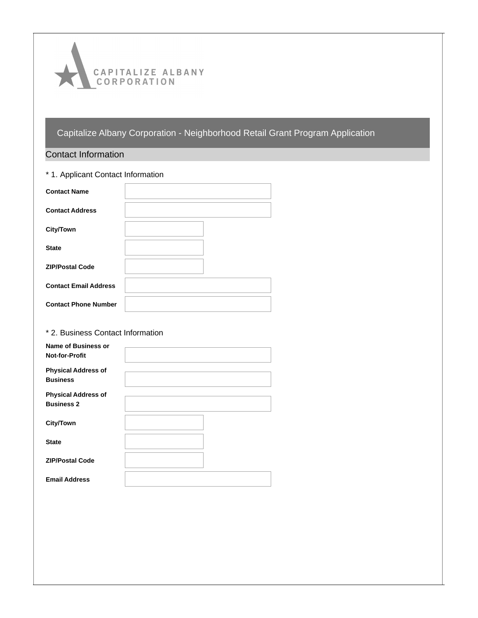

# Contact Information

| * 1. Applicant Contact Information |  |  |  |  |
|------------------------------------|--|--|--|--|
| <b>Contact Name</b>                |  |  |  |  |
| <b>Contact Address</b>             |  |  |  |  |
| <b>City/Town</b>                   |  |  |  |  |
| <b>State</b>                       |  |  |  |  |
| <b>ZIP/Postal Code</b>             |  |  |  |  |
| <b>Contact Email Address</b>       |  |  |  |  |
| <b>Contact Phone Number</b>        |  |  |  |  |

## \* 2. Business Contact Information

| <b>Name of Business or</b><br><b>Not-for-Profit</b> |  |
|-----------------------------------------------------|--|
| <b>Physical Address of</b><br><b>Business</b>       |  |
| <b>Physical Address of</b><br><b>Business 2</b>     |  |
| <b>City/Town</b>                                    |  |
| <b>State</b>                                        |  |
| <b>ZIP/Postal Code</b>                              |  |
| <b>Email Address</b>                                |  |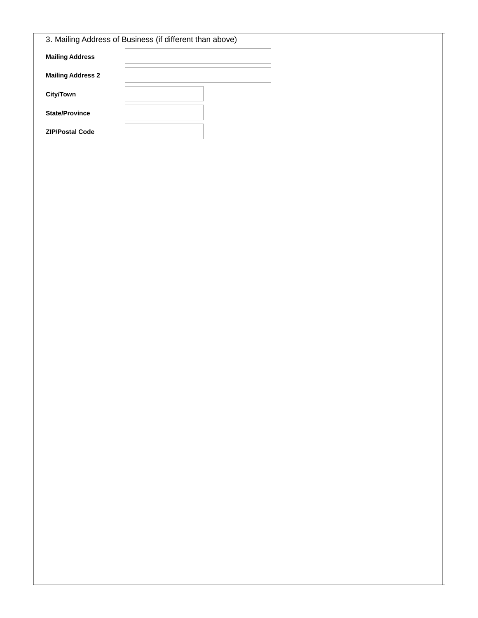| 3. Mailing Address of Business (if different than above) |  |  |  |  |
|----------------------------------------------------------|--|--|--|--|
| <b>Mailing Address</b>                                   |  |  |  |  |
| <b>Mailing Address 2</b>                                 |  |  |  |  |
| City/Town                                                |  |  |  |  |
| <b>State/Province</b>                                    |  |  |  |  |
| <b>ZIP/Postal Code</b>                                   |  |  |  |  |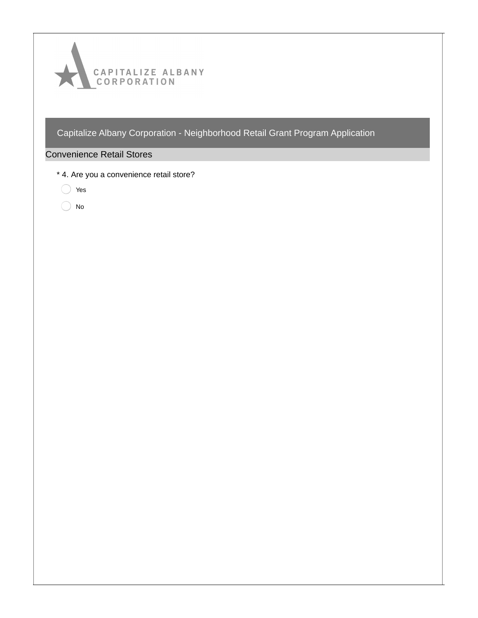

# Convenience Retail Stores

- \* 4. Are you a convenience retail store?
	- ◯ Yes
	- $\bigcirc$  No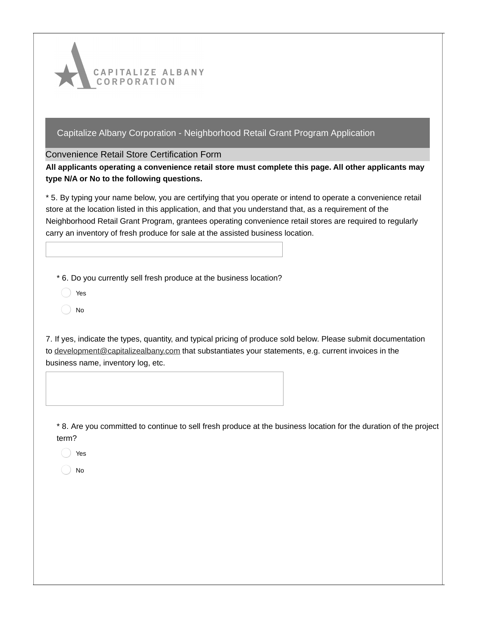

Convenience Retail Store Certification Form

**All applicants operating a convenience retail store must complete this page. All other applicants may type N/A or No to the following questions.**

\* 5. By typing your name below, you are certifying that you operate or intend to operate a convenience retail store at the location listed in this application, and that you understand that, as a requirement of the Neighborhood Retail Grant Program, grantees operating convenience retail stores are required to regularly carry an inventory of fresh produce for sale at the assisted business location.

\* 6. Do you currently sell fresh produce at the business location?

- Yes
- No

7. If yes, indicate the types, quantity, and typical pricing of produce sold below. Please submit documentation to [development@capitalizealbany.com](mailto:development@capitalizealbany.com) that substantiates your statements, e.g. current invoices in the business name, inventory log, etc.

\* 8. Are you committed to continue to sell fresh produce at the business location for the duration of the project term?

Yes

No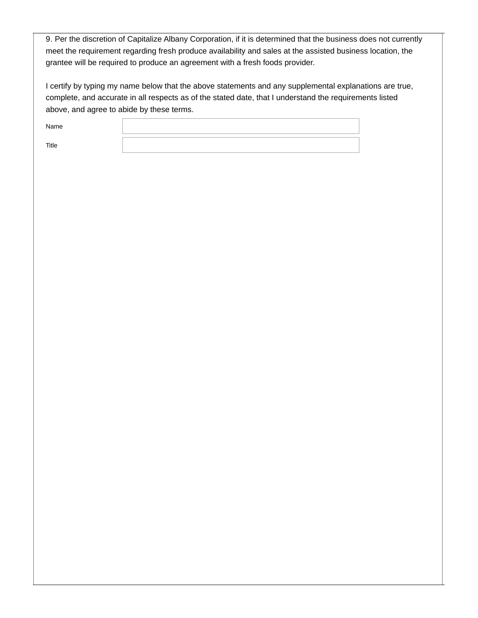9. Per the discretion of Capitalize Albany Corporation, if it is determined that the business does not currently meet the requirement regarding fresh produce availability and sales at the assisted business location, the grantee will be required to produce an agreement with a fresh foods provider.

I certify by typing my name below that the above statements and any supplemental explanations are true, complete, and accurate in all respects as of the stated date, that I understand the requirements listed above, and agree to abide by these terms.

Name

Title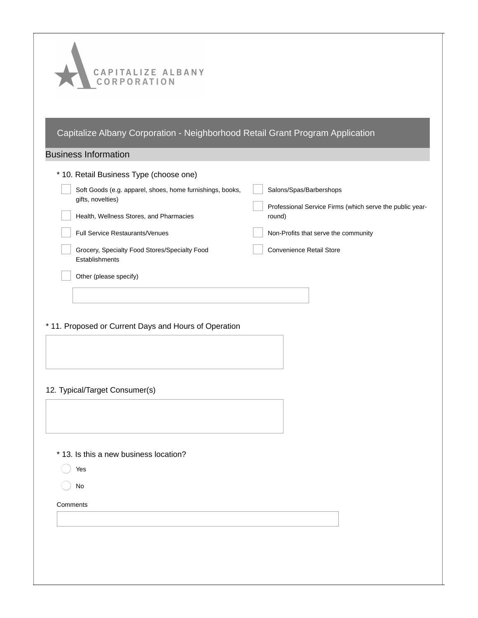| CAPITALIZE ALBANY<br>CORPORATION                                              |                                                          |
|-------------------------------------------------------------------------------|----------------------------------------------------------|
| Capitalize Albany Corporation - Neighborhood Retail Grant Program Application |                                                          |
| <b>Business Information</b>                                                   |                                                          |
| * 10. Retail Business Type (choose one)                                       |                                                          |
| Soft Goods (e.g. apparel, shoes, home furnishings, books,                     | Salons/Spas/Barbershops                                  |
| gifts, novelties)                                                             | Professional Service Firms (which serve the public year- |
| Health, Wellness Stores, and Pharmacies<br>Full Service Restaurants/Venues    | round)<br>Non-Profits that serve the community           |
| Grocery, Specialty Food Stores/Specialty Food                                 | Convenience Retail Store                                 |
| Establishments                                                                |                                                          |
| Other (please specify)                                                        |                                                          |
|                                                                               |                                                          |
|                                                                               |                                                          |
| * 11. Proposed or Current Days and Hours of Operation                         |                                                          |
|                                                                               |                                                          |
|                                                                               |                                                          |
| 12. Typical/Target Consumer(s)                                                |                                                          |
|                                                                               |                                                          |
|                                                                               |                                                          |
|                                                                               |                                                          |
| * 13. Is this a new business location?                                        |                                                          |
| Yes                                                                           |                                                          |
| No                                                                            |                                                          |
| Comments                                                                      |                                                          |
|                                                                               |                                                          |
|                                                                               |                                                          |
|                                                                               |                                                          |
|                                                                               |                                                          |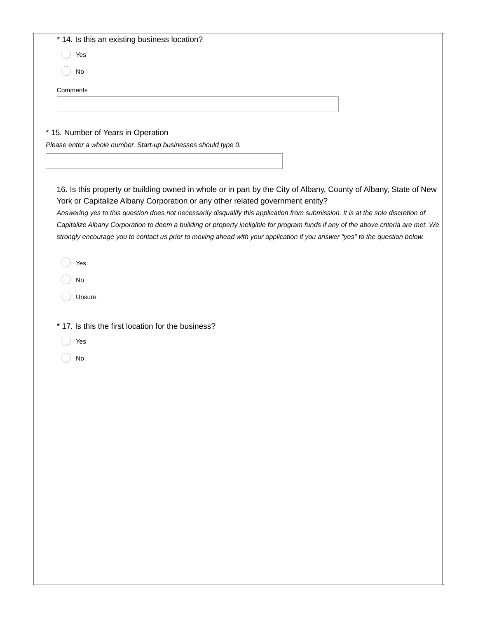| * 14. Is this an existing business location?       |                                                                                                                                                                                                   |
|----------------------------------------------------|---------------------------------------------------------------------------------------------------------------------------------------------------------------------------------------------------|
| Yes                                                |                                                                                                                                                                                                   |
| No                                                 |                                                                                                                                                                                                   |
| Comments                                           |                                                                                                                                                                                                   |
|                                                    |                                                                                                                                                                                                   |
|                                                    |                                                                                                                                                                                                   |
| * 15. Number of Years in Operation                 | Please enter a whole number. Start-up businesses should type 0.                                                                                                                                   |
|                                                    |                                                                                                                                                                                                   |
|                                                    |                                                                                                                                                                                                   |
|                                                    | 16. Is this property or building owned in whole or in part by the City of Albany, County of Albany, State of New<br>York or Capitalize Albany Corporation or any other related government entity? |
|                                                    | Answering yes to this question does not necessarily disqualify this application from submission. It is at the sole discretion of                                                                  |
|                                                    | Capitalize Albany Corporation to deem a building or property ineligible for program funds if any of the above criteria are met. We                                                                |
|                                                    | strongly encourage you to contact us prior to moving ahead with your application if you answer "yes" to the question below.                                                                       |
| Yes                                                |                                                                                                                                                                                                   |
| No                                                 |                                                                                                                                                                                                   |
| Unsure                                             |                                                                                                                                                                                                   |
|                                                    |                                                                                                                                                                                                   |
| * 17. Is this the first location for the business? |                                                                                                                                                                                                   |
| Yes                                                |                                                                                                                                                                                                   |
| No                                                 |                                                                                                                                                                                                   |
|                                                    |                                                                                                                                                                                                   |
|                                                    |                                                                                                                                                                                                   |
|                                                    |                                                                                                                                                                                                   |
|                                                    |                                                                                                                                                                                                   |
|                                                    |                                                                                                                                                                                                   |
|                                                    |                                                                                                                                                                                                   |
|                                                    |                                                                                                                                                                                                   |
|                                                    |                                                                                                                                                                                                   |
|                                                    |                                                                                                                                                                                                   |
|                                                    |                                                                                                                                                                                                   |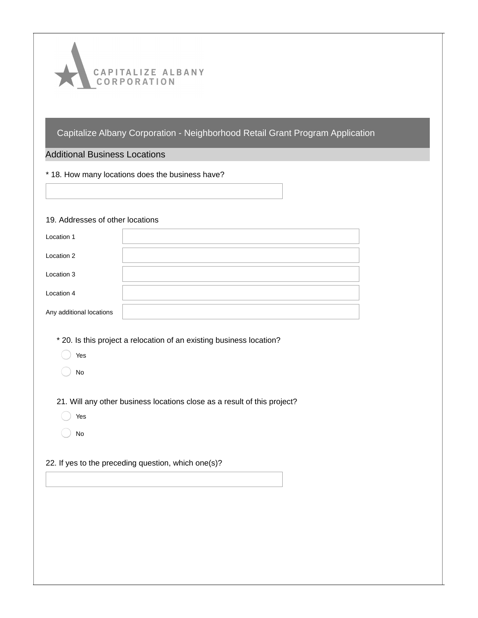

### Additional Business Locations

\* 18. How many locations does the business have?

#### 19. Addresses of other locations

| Location 1               |  |
|--------------------------|--|
| Location 2               |  |
| Location 3               |  |
| Location 4               |  |
| Any additional locations |  |

- \* 20. Is this project a relocation of an existing business location?
	- Yes
	- No

21. Will any other business locations close as a result of this project?

- Yes
- No

#### 22. If yes to the preceding question, which one(s)?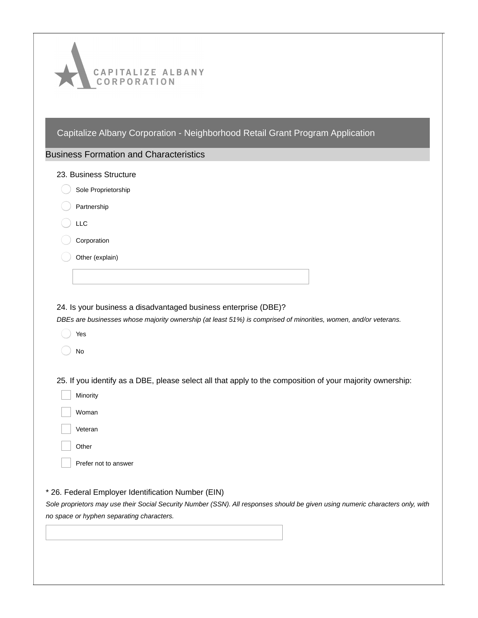| CAPITALIZE ALBANY<br>CORPORATION                                                                                                                                                                                                  |
|-----------------------------------------------------------------------------------------------------------------------------------------------------------------------------------------------------------------------------------|
| Capitalize Albany Corporation - Neighborhood Retail Grant Program Application                                                                                                                                                     |
| <b>Business Formation and Characteristics</b>                                                                                                                                                                                     |
| 23. Business Structure                                                                                                                                                                                                            |
| Sole Proprietorship                                                                                                                                                                                                               |
| Partnership                                                                                                                                                                                                                       |
| <b>LLC</b>                                                                                                                                                                                                                        |
| Corporation                                                                                                                                                                                                                       |
| Other (explain)                                                                                                                                                                                                                   |
|                                                                                                                                                                                                                                   |
| 24. Is your business a disadvantaged business enterprise (DBE)?<br>DBEs are businesses whose majority ownership (at least 51%) is comprised of minorities, women, and/or veterans.<br>Yes<br>No                                   |
| 25. If you identify as a DBE, please select all that apply to the composition of your majority ownership:<br>Minority                                                                                                             |
| Woman                                                                                                                                                                                                                             |
| Veteran                                                                                                                                                                                                                           |
| Other                                                                                                                                                                                                                             |
| Prefer not to answer                                                                                                                                                                                                              |
| * 26. Federal Employer Identification Number (EIN)<br>Sole proprietors may use their Social Security Number (SSN). All responses should be given using numeric characters only, with<br>no space or hyphen separating characters. |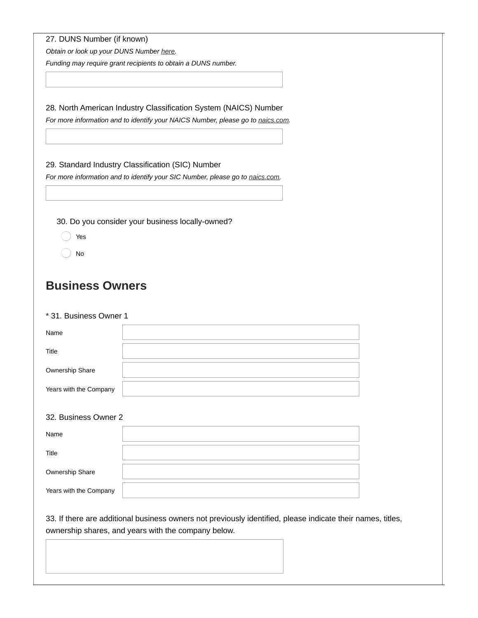|  |  | 27. DUNS Number (if known) |  |  |
|--|--|----------------------------|--|--|
|--|--|----------------------------|--|--|

*Obtain or look up your DUNS Number [here](https://www.dnb.com/duns-number.html).*

*Funding may require grant recipients to obtain a DUNS number.*

28. North American Industry Classification System (NAICS) Number

*For more information and to identify your NAICS Number, please go to [naics.com](https://www.naics.com/search/).*

29. Standard Industry Classification (SIC) Number

*For more information and to identify your SIC Number, please go to [naics.com](https://www.naics.com/search/).*

30. Do you consider your business locally-owned?

- Yes
- No

# **Business Owners**

#### \* 31. Business Owner 1

| Name                   |  |
|------------------------|--|
| Title                  |  |
| Ownership Share        |  |
| Years with the Company |  |

#### 32. Business Owner 2

| Name                   |  |
|------------------------|--|
| Title                  |  |
| Ownership Share        |  |
| Years with the Company |  |

33. If there are additional business owners not previously identified, please indicate their names, titles, ownership shares, and years with the company below.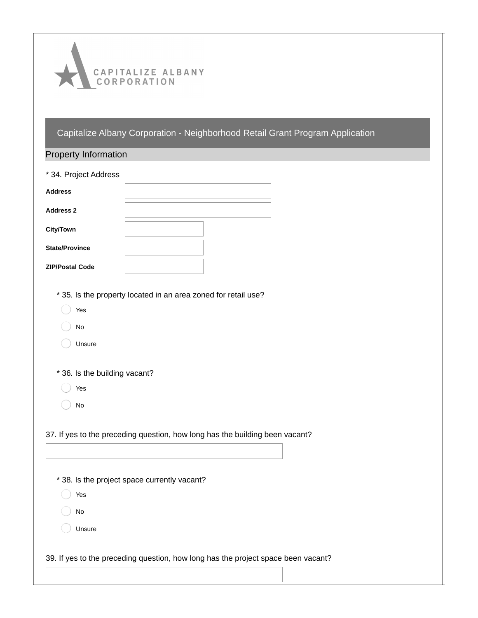

| <b>Property Information</b>   |                                                                                   |
|-------------------------------|-----------------------------------------------------------------------------------|
| * 34. Project Address         |                                                                                   |
| <b>Address</b>                |                                                                                   |
| <b>Address 2</b>              |                                                                                   |
| <b>City/Town</b>              |                                                                                   |
| <b>State/Province</b>         |                                                                                   |
| <b>ZIP/Postal Code</b>        |                                                                                   |
|                               |                                                                                   |
|                               | * 35. Is the property located in an area zoned for retail use?                    |
| Yes                           |                                                                                   |
| No                            |                                                                                   |
| Unsure                        |                                                                                   |
|                               |                                                                                   |
| * 36. Is the building vacant? |                                                                                   |
| Yes                           |                                                                                   |
| No                            |                                                                                   |
|                               |                                                                                   |
|                               | 37. If yes to the preceding question, how long has the building been vacant?      |
|                               |                                                                                   |
|                               |                                                                                   |
|                               | * 38. Is the project space currently vacant?                                      |
| Yes                           |                                                                                   |
| No                            |                                                                                   |
| Unsure                        |                                                                                   |
|                               |                                                                                   |
|                               | 39. If yes to the preceding question, how long has the project space been vacant? |
|                               |                                                                                   |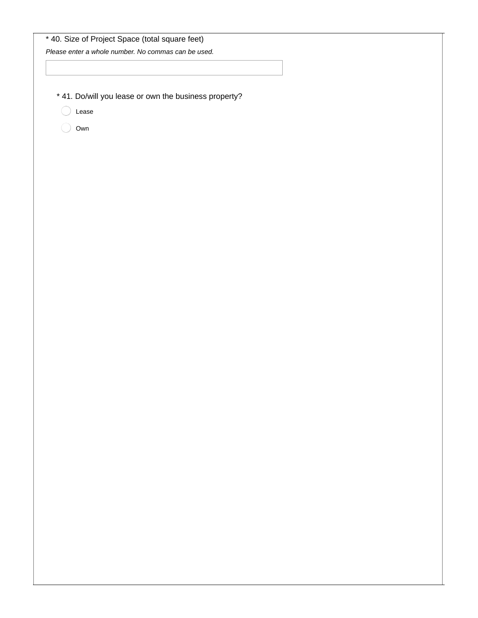| * 40. Size of Project Space (total square feet)       |  |
|-------------------------------------------------------|--|
| Please enter a whole number. No commas can be used.   |  |
|                                                       |  |
|                                                       |  |
|                                                       |  |
| * 41. Do/will you lease or own the business property? |  |
| Lease                                                 |  |
| Own                                                   |  |
|                                                       |  |
|                                                       |  |
|                                                       |  |
|                                                       |  |
|                                                       |  |
|                                                       |  |
|                                                       |  |
|                                                       |  |
|                                                       |  |

Г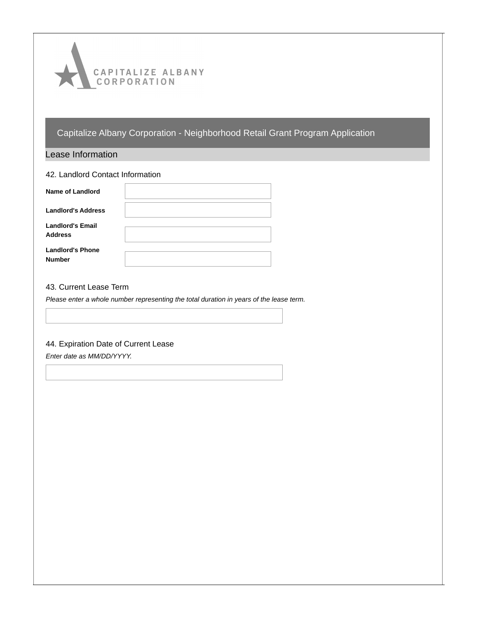

#### Lease Information

| 42. Landlord Contact Information          |  |  |
|-------------------------------------------|--|--|
| Name of Landlord                          |  |  |
| <b>Landlord's Address</b>                 |  |  |
| <b>Landlord's Email</b><br><b>Address</b> |  |  |
| <b>Landlord's Phone</b><br><b>Number</b>  |  |  |

#### 43. Current Lease Term

*Please enter a whole number representing the total duration in years of the lease term.*

#### 44. Expiration Date of Current Lease

*Enter date as MM/DD/YYYY.*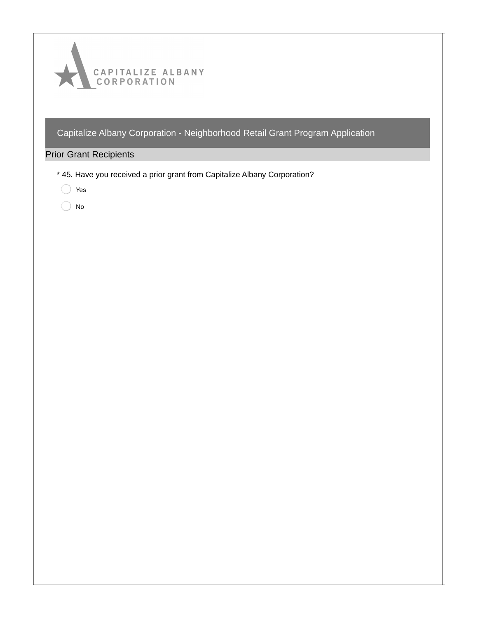

# Prior Grant Recipients

- \* 45. Have you received a prior grant from Capitalize Albany Corporation?
	- ◯ Yes
	- $\bigcirc$  No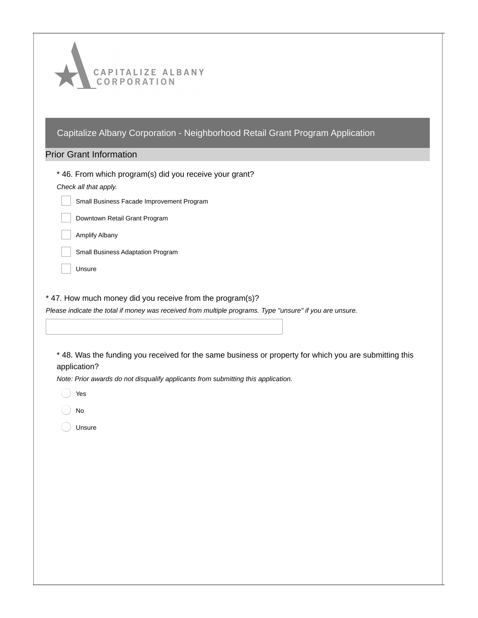| CAPITALIZE ALBANY<br>CORPORATION                                                                                       |
|------------------------------------------------------------------------------------------------------------------------|
| Capitalize Albany Corporation - Neighborhood Retail Grant Program Application<br><b>Prior Grant Information</b>        |
|                                                                                                                        |
| * 46. From which program(s) did you receive your grant?<br>Check all that apply.                                       |
| Small Business Facade Improvement Program                                                                              |
| Downtown Retail Grant Program                                                                                          |
| <b>Amplify Albany</b>                                                                                                  |
| Small Business Adaptation Program                                                                                      |
| Unsure                                                                                                                 |
| Please indicate the total if money was received from multiple programs. Type "unsure" if you are unsure.               |
| * 48. Was the funding you received for the same business or property for which you are submitting this<br>application? |
| Note: Prior awards do not disqualify applicants from submitting this application.<br>Yes                               |
| $\operatorname{\mathsf{No}}$                                                                                           |
| Unsure                                                                                                                 |
|                                                                                                                        |
|                                                                                                                        |
|                                                                                                                        |
|                                                                                                                        |
|                                                                                                                        |
|                                                                                                                        |
|                                                                                                                        |
|                                                                                                                        |
|                                                                                                                        |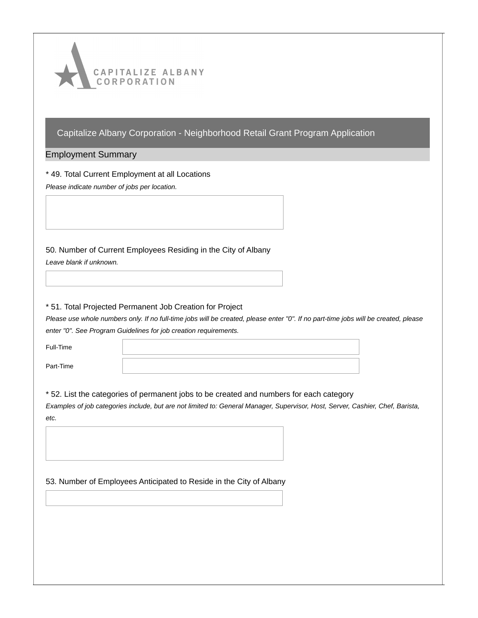

Employment Summary

\* 49. Total Current Employment at all Locations

*Please indicate number of jobs per location.*

50. Number of Current Employees Residing in the City of Albany

*Leave blank if unknown.*

### \* 51. Total Projected Permanent Job Creation for Project

Please use whole numbers only. If no full-time jobs will be created, please enter "0". If no part-time jobs will be created, please *enter "0". See Program Guidelines for job creation requirements.*

| Full-Time |  |
|-----------|--|
| Part-Time |  |

#### \* 52. List the categories of permanent jobs to be created and numbers for each category

Examples of job categories include, but are not limited to: General Manager, Supervisor, Host, Server, Cashier, Chef, Barista, *etc.*

53. Number of Employees Anticipated to Reside in the City of Albany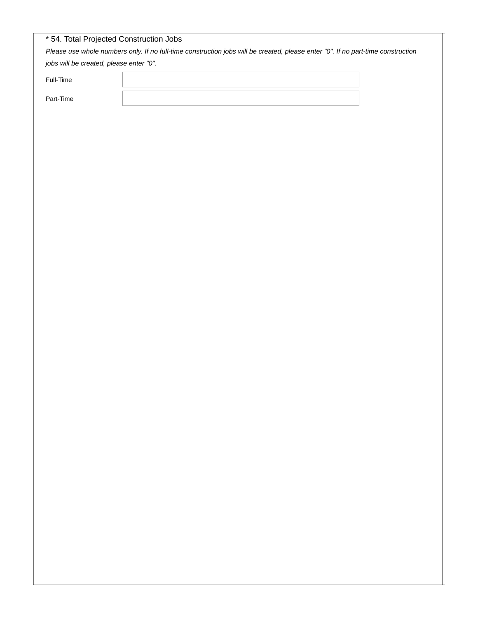|           | jobs will be created, please enter "0". |  |  |
|-----------|-----------------------------------------|--|--|
| Full-Time |                                         |  |  |
| Part-Time |                                         |  |  |
|           |                                         |  |  |
|           |                                         |  |  |
|           |                                         |  |  |
|           |                                         |  |  |
|           |                                         |  |  |
|           |                                         |  |  |
|           |                                         |  |  |
|           |                                         |  |  |
|           |                                         |  |  |
|           |                                         |  |  |
|           |                                         |  |  |
|           |                                         |  |  |
|           |                                         |  |  |
|           |                                         |  |  |
|           |                                         |  |  |
|           |                                         |  |  |
|           |                                         |  |  |
|           |                                         |  |  |
|           |                                         |  |  |
|           |                                         |  |  |
|           |                                         |  |  |
|           |                                         |  |  |
|           |                                         |  |  |
|           |                                         |  |  |
|           |                                         |  |  |
|           |                                         |  |  |
|           |                                         |  |  |
|           |                                         |  |  |
|           |                                         |  |  |
|           |                                         |  |  |
|           |                                         |  |  |
|           |                                         |  |  |
|           |                                         |  |  |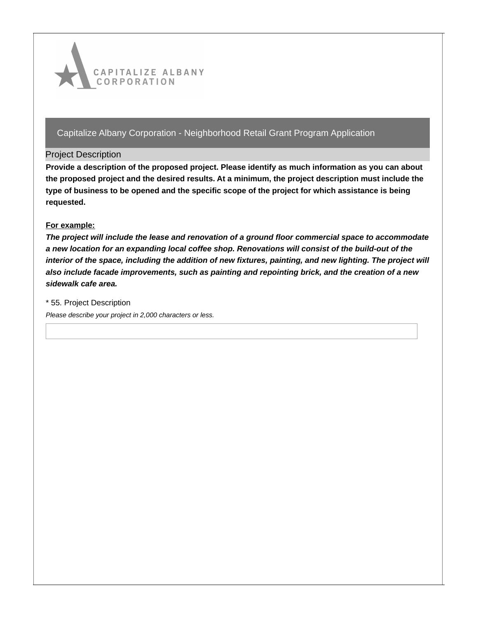

#### Project Description

**Provide a description of the proposed project. Please identify as much information as you can about the proposed project and the desired results. At a minimum, the project description must include the type of business to be opened and the specific scope of the project for which assistance is being requested.**

### **For example:**

*The project will include the lease and renovation of a ground floor commercial space to accommodate a new location for an expanding local coffee shop. Renovations will consist of the build-out of the* interior of the space, including the addition of new fixtures, painting, and new lighting. The project will *also include facade improvements, such as painting and repointing brick, and the creation of a new sidewalk cafe area.*

\* 55. Project Description

*Please describe your project in 2,000 characters or less.*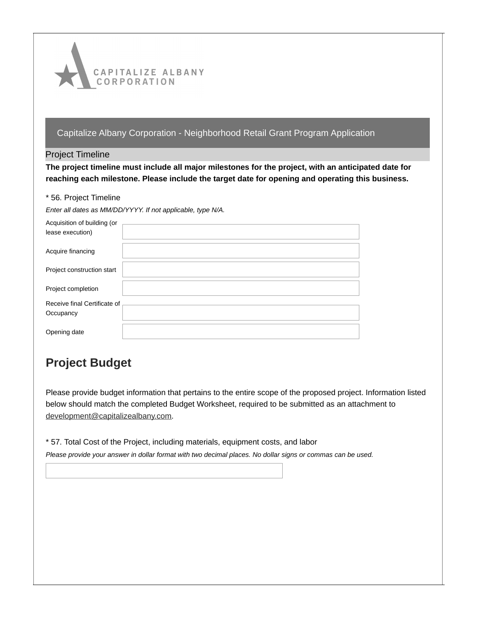

#### Project Timeline

**The project timeline must include all major milestones for the project, with an anticipated date for reaching each milestone. Please include the target date for opening and operating this business.**

#### \* 56. Project Timeline

*Enter all dates as MM/DD/YYYY. If not applicable, type N/A.*

| Acquisition of building (or  |  |
|------------------------------|--|
| lease execution)             |  |
|                              |  |
| Acquire financing            |  |
|                              |  |
| Project construction start   |  |
|                              |  |
| Project completion           |  |
|                              |  |
| Receive final Certificate of |  |
| Occupancy                    |  |
|                              |  |
| Opening date                 |  |
|                              |  |

# **Project Budget**

Please provide budget information that pertains to the entire scope of the proposed project. Information listed below should match the completed Budget Worksheet, required to be submitted as an attachment to [development@capitalizealbany.com](mailto:development@capitalizealbany.com).

\* 57. Total Cost of the Project, including materials, equipment costs, and labor

Please provide your answer in dollar format with two decimal places. No dollar signs or commas can be used.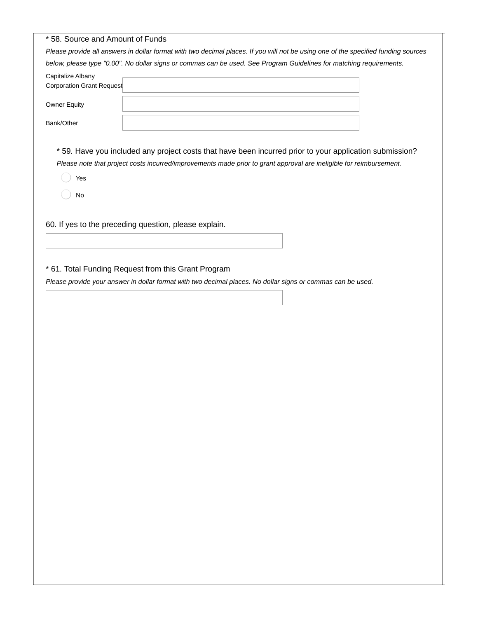| * 58. Source and Amount of Funds                      |                                                                                                                                                                                                                               |
|-------------------------------------------------------|-------------------------------------------------------------------------------------------------------------------------------------------------------------------------------------------------------------------------------|
|                                                       | Please provide all answers in dollar format with two decimal places. If you will not be using one of the specified funding sources                                                                                            |
|                                                       | below, please type "0.00". No dollar signs or commas can be used. See Program Guidelines for matching requirements.                                                                                                           |
| Capitalize Albany<br><b>Corporation Grant Request</b> |                                                                                                                                                                                                                               |
| <b>Owner Equity</b>                                   |                                                                                                                                                                                                                               |
| Bank/Other                                            |                                                                                                                                                                                                                               |
| Yes<br>No                                             | *59. Have you included any project costs that have been incurred prior to your application submission?<br>Please note that project costs incurred/improvements made prior to grant approval are ineligible for reimbursement. |
|                                                       | 60. If yes to the preceding question, please explain.                                                                                                                                                                         |

# \* 61. Total Funding Request from this Grant Program

Please provide your answer in dollar format with two decimal places. No dollar signs or commas can be used.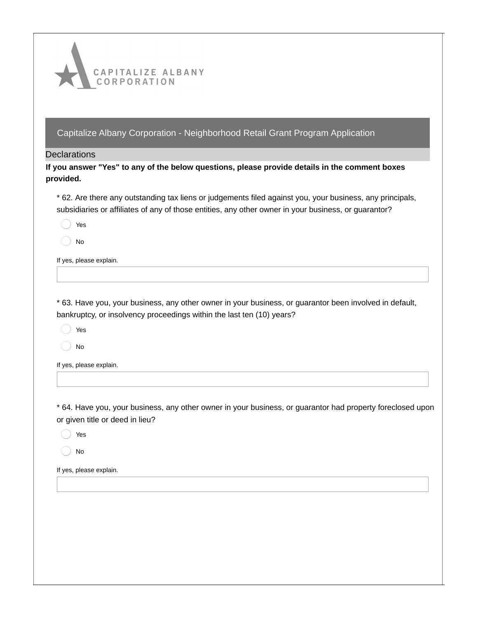

**Declarations** 

**If you answer "Yes" to any of the below questions, please provide details in the comment boxes provided.**

\* 62. Are there any outstanding tax liens or judgements filed against you, your business, any principals, subsidiaries or affiliates of any of those entities, any other owner in your business, or guarantor?

Yes

No

If yes, please explain.

\* 63. Have you, your business, any other owner in your business, or guarantor been involved in default, bankruptcy, or insolvency proceedings within the last ten (10) years?

Yes

No

If yes, please explain.

\* 64. Have you, your business, any other owner in your business, or guarantor had property foreclosed upon or given title or deed in lieu?

Yes

No

If yes, please explain.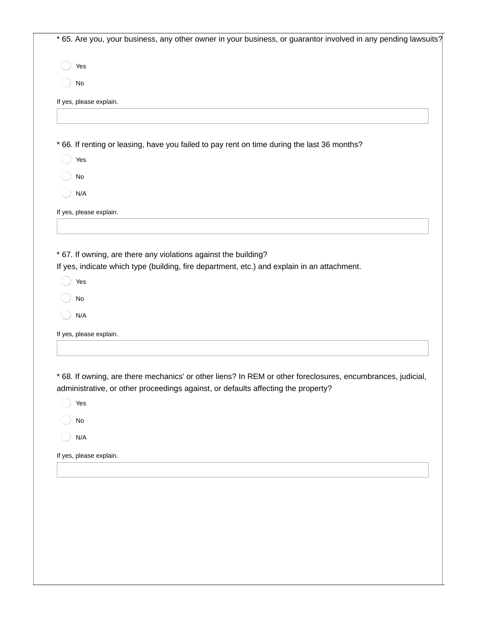\* 65. Are you, your business, any other owner in your business, or guarantor involved in any pending lawsuits?

Yes

No

If yes, please explain.

\* 66. If renting or leasing, have you failed to pay rent on time during the last 36 months?

Yes

No

N/A

If yes, please explain.

\* 67. If owning, are there any violations against the building?

If yes, indicate which type (building, fire department, etc.) and explain in an attachment.

Yes

No

N/A

If yes, please explain.

\* 68. If owning, are there mechanics' or other liens? In REM or other foreclosures, encumbrances, judicial, administrative, or other proceedings against, or defaults affecting the property?

Yes

No

N/A

If yes, please explain.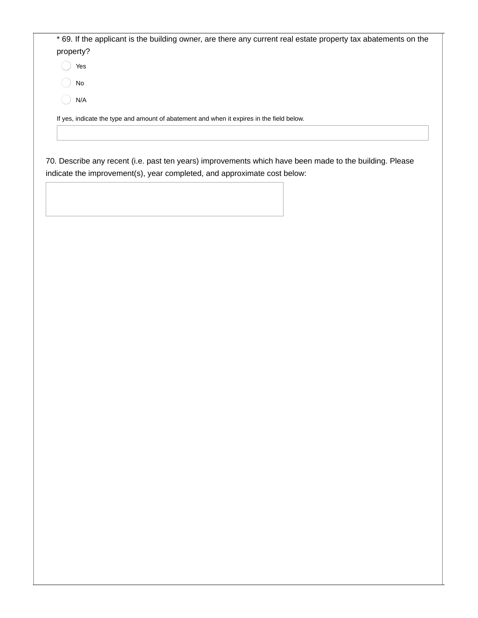\* 69. If the applicant is the building owner, are there any current real estate property tax abatements on the property?

Yes

No

N/A

If yes, indicate the type and amount of abatement and when it expires in the field below.

70. Describe any recent (i.e. past ten years) improvements which have been made to the building. Please indicate the improvement(s), year completed, and approximate cost below: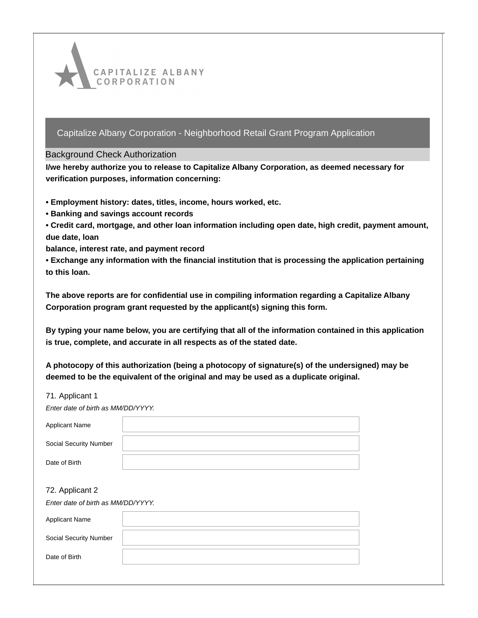

#### Background Check Authorization

**I/we hereby authorize you to release to Capitalize Albany Corporation, as deemed necessary for verification purposes, information concerning:**

- **• Employment history: dates, titles, income, hours worked, etc.**
- **• Banking and savings account records**
- **• Credit card, mortgage, and other loan information including open date, high credit, payment amount, due date, loan**

**balance, interest rate, and payment record**

**• Exchange any information with the financial institution that is processing the application pertaining to this loan.**

**The above reports are for confidential use in compiling information regarding a Capitalize Albany Corporation program grant requested by the applicant(s) signing this form.**

**By typing your name below, you are certifying that all of the information contained in this application is true, complete, and accurate in all respects as of the stated date.**

**A photocopy of this authorization (being a photocopy of signature(s) of the undersigned) may be deemed to be the equivalent of the original and may be used as a duplicate original.**

#### 71. Applicant 1

| Enter date of birth as MM/DD/YYYY. |  |
|------------------------------------|--|
| Applicant Name                     |  |
| Social Security Number             |  |
| Date of Birth                      |  |

#### 72. Applicant 2

*Enter date of birth as MM/DD/YYYY.*

| <b>Applicant Name</b>         |  |
|-------------------------------|--|
| <b>Social Security Number</b> |  |
| Date of Birth                 |  |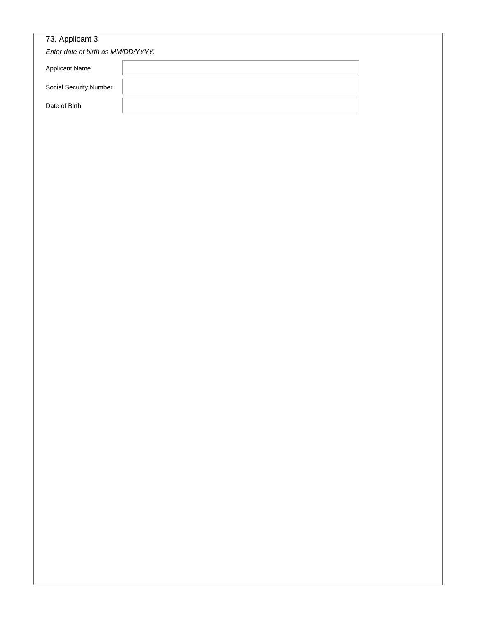| Enter date of birth as MM/DD/YYYY. |  |  |  |
|------------------------------------|--|--|--|
| Applicant Name                     |  |  |  |
| Social Security Number             |  |  |  |
| Date of Birth                      |  |  |  |
|                                    |  |  |  |
|                                    |  |  |  |
|                                    |  |  |  |
|                                    |  |  |  |
|                                    |  |  |  |
|                                    |  |  |  |
|                                    |  |  |  |
|                                    |  |  |  |
|                                    |  |  |  |
|                                    |  |  |  |
|                                    |  |  |  |
|                                    |  |  |  |
|                                    |  |  |  |
|                                    |  |  |  |
|                                    |  |  |  |
|                                    |  |  |  |
|                                    |  |  |  |
|                                    |  |  |  |
|                                    |  |  |  |
|                                    |  |  |  |
|                                    |  |  |  |
|                                    |  |  |  |
|                                    |  |  |  |
|                                    |  |  |  |
|                                    |  |  |  |
|                                    |  |  |  |
|                                    |  |  |  |
|                                    |  |  |  |
|                                    |  |  |  |
|                                    |  |  |  |
|                                    |  |  |  |
|                                    |  |  |  |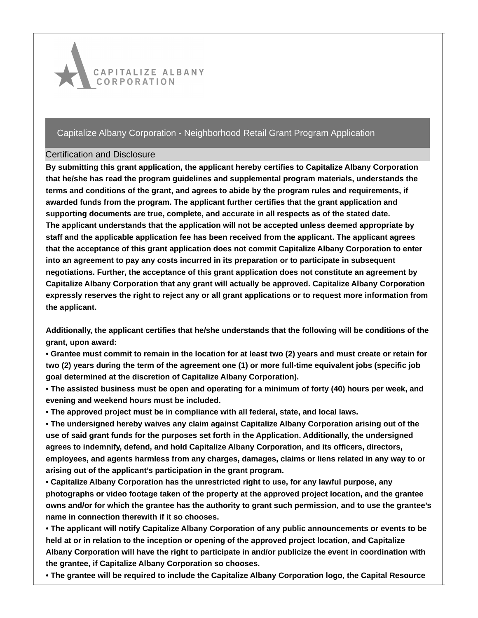

### Certification and Disclosure

**By submitting this grant application, the applicant hereby certifies to Capitalize Albany Corporation that he/she has read the program guidelines and supplemental program materials, understands the terms and conditions of the grant, and agrees to abide by the program rules and requirements, if awarded funds from the program. The applicant further certifies that the grant application and supporting documents are true, complete, and accurate in all respects as of the stated date. The applicant understands that the application will not be accepted unless deemed appropriate by staff and the applicable application fee has been received from the applicant. The applicant agrees that the acceptance of this grant application does not commit Capitalize Albany Corporation to enter into an agreement to pay any costs incurred in its preparation or to participate in subsequent negotiations. Further, the acceptance of this grant application does not constitute an agreement by Capitalize Albany Corporation that any grant will actually be approved. Capitalize Albany Corporation expressly reserves the right to reject any or all grant applications or to request more information from the applicant.**

**Additionally, the applicant certifies that he/she understands that the following will be conditions of the grant, upon award:**

• Grantee must commit to remain in the location for at least two (2) years and must create or retain for two (2) years during the term of the agreement one (1) or more full-time equivalent jobs (specific job **goal determined at the discretion of Capitalize Albany Corporation).**

• The assisted business must be open and operating for a minimum of forty (40) hours per week, and **evening and weekend hours must be included.**

**• The approved project must be in compliance with all federal, state, and local laws.**

**• The undersigned hereby waives any claim against Capitalize Albany Corporation arising out of the use of said grant funds for the purposes set forth in the Application. Additionally, the undersigned agrees to indemnify, defend, and hold Capitalize Albany Corporation, and its officers, directors, employees, and agents harmless from any charges, damages, claims or liens related in any way to or arising out of the applicant's participation in the grant program.**

**• Capitalize Albany Corporation has the unrestricted right to use, for any lawful purpose, any photographs or video footage taken of the property at the approved project location, and the grantee** owns and/or for which the grantee has the authority to grant such permission, and to use the grantee's **name in connection therewith if it so chooses.**

**• The applicant will notify Capitalize Albany Corporation of any public announcements or events to be held at or in relation to the inception or opening of the approved project location, and Capitalize Albany Corporation will have the right to participate in and/or publicize the event in coordination with the grantee, if Capitalize Albany Corporation so chooses.**

**• The grantee will be required to include the Capitalize Albany Corporation logo, the Capital Resource**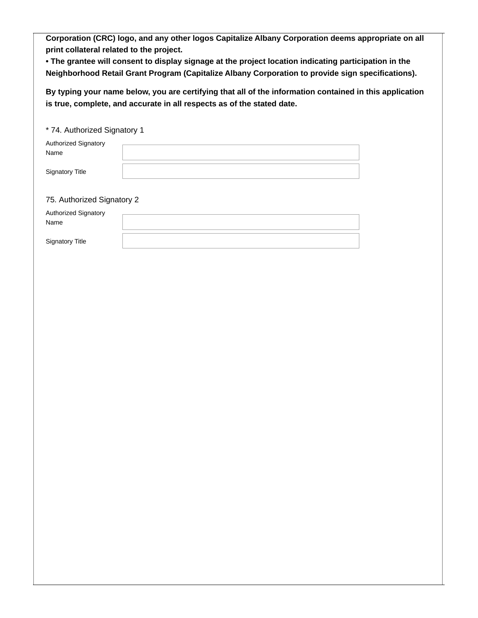**Corporation (CRC) logo, and any other logos Capitalize Albany Corporation deems appropriate on all print collateral related to the project.**

**• The grantee will consent to display signage at the project location indicating participation in the Neighborhood Retail Grant Program (Capitalize Albany Corporation to provide sign specifications).**

**By typing your name below, you are certifying that all of the information contained in this application is true, complete, and accurate in all respects as of the stated date.**

| * 74. Authorized Signatory 1        |  |
|-------------------------------------|--|
| <b>Authorized Signatory</b><br>Name |  |
| <b>Signatory Title</b>              |  |
| 75. Authorized Signatory 2          |  |
| <b>Authorized Signatory</b><br>Name |  |
| <b>Signatory Title</b>              |  |